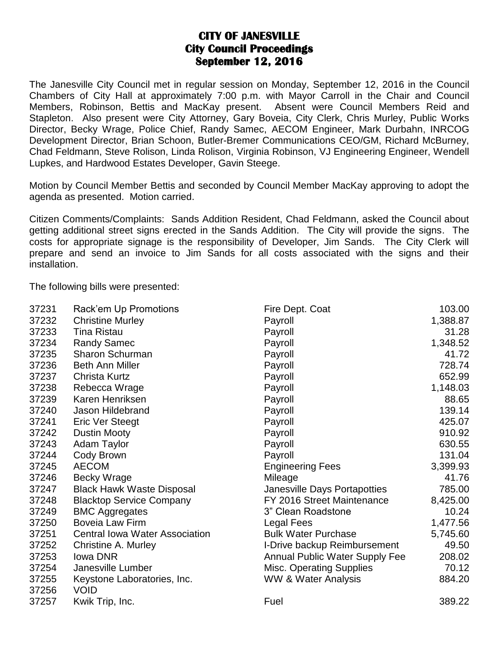## **CITY OF JANESVILLE City Council Proceedings September 12, 2016**

The Janesville City Council met in regular session on Monday, September 12, 2016 in the Council Chambers of City Hall at approximately 7:00 p.m. with Mayor Carroll in the Chair and Council Members, Robinson, Bettis and MacKay present. Absent were Council Members Reid and Stapleton. Also present were City Attorney, Gary Boveia, City Clerk, Chris Murley, Public Works Director, Becky Wrage, Police Chief, Randy Samec, AECOM Engineer, Mark Durbahn, INRCOG Development Director, Brian Schoon, Butler-Bremer Communications CEO/GM, Richard McBurney, Chad Feldmann, Steve Rolison, Linda Rolison, Virginia Robinson, VJ Engineering Engineer, Wendell Lupkes, and Hardwood Estates Developer, Gavin Steege.

Motion by Council Member Bettis and seconded by Council Member MacKay approving to adopt the agenda as presented. Motion carried.

Citizen Comments/Complaints: Sands Addition Resident, Chad Feldmann, asked the Council about getting additional street signs erected in the Sands Addition. The City will provide the signs. The costs for appropriate signage is the responsibility of Developer, Jim Sands. The City Clerk will prepare and send an invoice to Jim Sands for all costs associated with the signs and their installation.

The following bills were presented:

| 37231          | Rack'em Up Promotions                      | Fire Dept. Coat                       | 103.00   |
|----------------|--------------------------------------------|---------------------------------------|----------|
| 37232          | <b>Christine Murley</b>                    | Payroll                               | 1,388.87 |
| 37233          | <b>Tina Ristau</b>                         | Payroll                               | 31.28    |
| 37234          | <b>Randy Samec</b>                         | Payroll                               | 1,348.52 |
| 37235          | Sharon Schurman                            | Payroll                               | 41.72    |
| 37236          | <b>Beth Ann Miller</b>                     | Payroll                               | 728.74   |
| 37237          | <b>Christa Kurtz</b>                       | Payroll                               | 652.99   |
| 37238          | Rebecca Wrage                              | Payroll                               | 1,148.03 |
| 37239          | Karen Henriksen                            | Payroll                               | 88.65    |
| 37240          | Jason Hildebrand                           | Payroll                               | 139.14   |
| 37241          | Eric Ver Steegt                            | Payroll                               | 425.07   |
| 37242          | <b>Dustin Mooty</b>                        | Payroll                               | 910.92   |
| 37243          | Adam Taylor                                | Payroll                               | 630.55   |
| 37244          | Cody Brown                                 | Payroll                               | 131.04   |
| 37245          | <b>AECOM</b>                               | <b>Engineering Fees</b>               | 3,399.93 |
| 37246          | <b>Becky Wrage</b>                         | Mileage                               | 41.76    |
| 37247          | <b>Black Hawk Waste Disposal</b>           | Janesville Days Portapotties          | 785.00   |
| 37248          | <b>Blacktop Service Company</b>            | FY 2016 Street Maintenance            | 8,425.00 |
| 37249          | <b>BMC Aggregates</b>                      | 3" Clean Roadstone                    | 10.24    |
| 37250          | <b>Boveia Law Firm</b>                     | Legal Fees                            | 1,477.56 |
| 37251          | <b>Central Iowa Water Association</b>      | <b>Bulk Water Purchase</b>            | 5,745.60 |
| 37252          | Christine A. Murley                        | I-Drive backup Reimbursement          | 49.50    |
| 37253          | <b>Iowa DNR</b>                            | <b>Annual Public Water Supply Fee</b> | 208.02   |
| 37254          | Janesville Lumber                          | <b>Misc. Operating Supplies</b>       | 70.12    |
| 37255<br>37256 | Keystone Laboratories, Inc.<br><b>VOID</b> | <b>WW &amp; Water Analysis</b>        | 884.20   |
| 37257          | Kwik Trip, Inc.                            | Fuel                                  | 389.22   |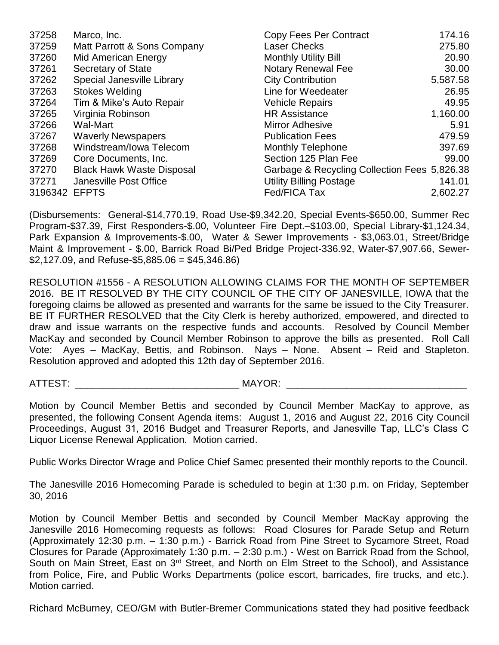| 37258         | Marco, Inc.                      | Copy Fees Per Contract                       | 174.16   |
|---------------|----------------------------------|----------------------------------------------|----------|
| 37259         | Matt Parrott & Sons Company      | <b>Laser Checks</b>                          | 275.80   |
| 37260         | Mid American Energy              | <b>Monthly Utility Bill</b>                  | 20.90    |
| 37261         | Secretary of State               | <b>Notary Renewal Fee</b>                    | 30.00    |
| 37262         | Special Janesville Library       | <b>City Contribution</b>                     | 5,587.58 |
| 37263         | <b>Stokes Welding</b>            | Line for Weedeater                           | 26.95    |
| 37264         | Tim & Mike's Auto Repair         | <b>Vehicle Repairs</b>                       | 49.95    |
| 37265         | Virginia Robinson                | <b>HR Assistance</b>                         | 1,160.00 |
| 37266         | Wal-Mart                         | <b>Mirror Adhesive</b>                       | 5.91     |
| 37267         | <b>Waverly Newspapers</b>        | <b>Publication Fees</b>                      | 479.59   |
| 37268         | Windstream/Iowa Telecom          | <b>Monthly Telephone</b>                     | 397.69   |
| 37269         | Core Documents, Inc.             | Section 125 Plan Fee                         | 99.00    |
| 37270         | <b>Black Hawk Waste Disposal</b> | Garbage & Recycling Collection Fees 5,826.38 |          |
| 37271         | Janesville Post Office           | <b>Utility Billing Postage</b>               | 141.01   |
| 3196342 EFPTS |                                  | Fed/FICA Tax                                 | 2,602.27 |

(Disbursements: General-\$14,770.19, Road Use-\$9,342.20, Special Events-\$650.00, Summer Rec Program-\$37.39, First Responders-\$.00, Volunteer Fire Dept.–\$103.00, Special Library-\$1,124.34, Park Expansion & Improvements-\$.00, Water & Sewer Improvements - \$3,063.01, Street/Bridge Maint & Improvement - \$.00, Barrick Road Bi/Ped Bridge Project-336.92, Water-\$7,907.66, Sewer-  $$2,127.09$ , and Refuse- $$5,885.06 = $45,346.86$ 

RESOLUTION #1556 - A RESOLUTION ALLOWING CLAIMS FOR THE MONTH OF SEPTEMBER 2016. BE IT RESOLVED BY THE CITY COUNCIL OF THE CITY OF JANESVILLE, IOWA that the foregoing claims be allowed as presented and warrants for the same be issued to the City Treasurer. BE IT FURTHER RESOLVED that the City Clerk is hereby authorized, empowered, and directed to draw and issue warrants on the respective funds and accounts. Resolved by Council Member MacKay and seconded by Council Member Robinson to approve the bills as presented. Roll Call Vote: Ayes – MacKay, Bettis, and Robinson. Nays – None. Absent – Reid and Stapleton. Resolution approved and adopted this 12th day of September 2016.

ATTEST: THE CONSTRUCTION OF THE CONSTRUCTION OF THE CONSTRUCTION OF THE CONSTRUCTION OF THE CONSTRUCTION OF THE CONSTRUCTION OF THE CONSTRUCTION OF THE CONSTRUCTION OF THE CONSTRUCTION OF THE CONSTRUCTION OF THE CONSTRUCTI

Motion by Council Member Bettis and seconded by Council Member MacKay to approve, as presented, the following Consent Agenda items: August 1, 2016 and August 22, 2016 City Council Proceedings, August 31, 2016 Budget and Treasurer Reports, and Janesville Tap, LLC's Class C Liquor License Renewal Application. Motion carried.

Public Works Director Wrage and Police Chief Samec presented their monthly reports to the Council.

The Janesville 2016 Homecoming Parade is scheduled to begin at 1:30 p.m. on Friday, September 30, 2016

Motion by Council Member Bettis and seconded by Council Member MacKay approving the Janesville 2016 Homecoming requests as follows: Road Closures for Parade Setup and Return (Approximately 12:30 p.m. – 1:30 p.m.) - Barrick Road from Pine Street to Sycamore Street, Road Closures for Parade (Approximately 1:30 p.m. – 2:30 p.m.) - West on Barrick Road from the School, South on Main Street, East on 3<sup>rd</sup> Street, and North on Elm Street to the School), and Assistance from Police, Fire, and Public Works Departments (police escort, barricades, fire trucks, and etc.). Motion carried.

Richard McBurney, CEO/GM with Butler-Bremer Communications stated they had positive feedback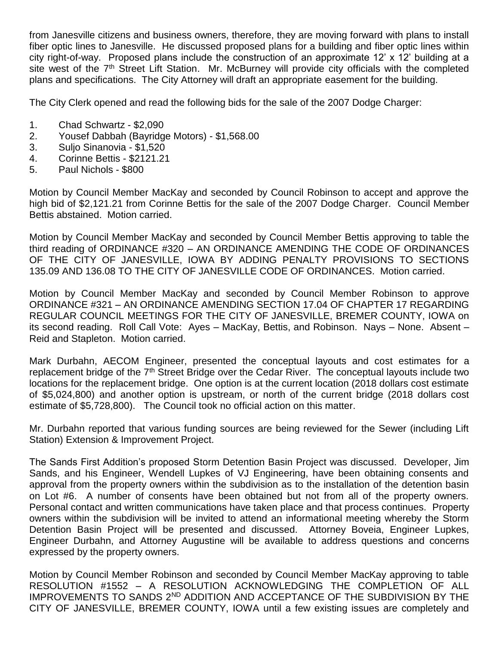from Janesville citizens and business owners, therefore, they are moving forward with plans to install fiber optic lines to Janesville. He discussed proposed plans for a building and fiber optic lines within city right-of-way. Proposed plans include the construction of an approximate 12' x 12' building at a site west of the 7<sup>th</sup> Street Lift Station. Mr. McBurney will provide city officials with the completed plans and specifications. The City Attorney will draft an appropriate easement for the building.

The City Clerk opened and read the following bids for the sale of the 2007 Dodge Charger:

- 1. Chad Schwartz \$2,090
- 2. Yousef Dabbah (Bayridge Motors) \$1,568.00
- 3. Suljo Sinanovia \$1,520
- 4. Corinne Bettis \$2121.21
- 5. Paul Nichols \$800

Motion by Council Member MacKay and seconded by Council Robinson to accept and approve the high bid of \$2,121.21 from Corinne Bettis for the sale of the 2007 Dodge Charger. Council Member Bettis abstained. Motion carried.

Motion by Council Member MacKay and seconded by Council Member Bettis approving to table the third reading of ORDINANCE #320 – AN ORDINANCE AMENDING THE CODE OF ORDINANCES OF THE CITY OF JANESVILLE, IOWA BY ADDING PENALTY PROVISIONS TO SECTIONS 135.09 AND 136.08 TO THE CITY OF JANESVILLE CODE OF ORDINANCES. Motion carried.

Motion by Council Member MacKay and seconded by Council Member Robinson to approve ORDINANCE #321 – AN ORDINANCE AMENDING SECTION 17.04 OF CHAPTER 17 REGARDING REGULAR COUNCIL MEETINGS FOR THE CITY OF JANESVILLE, BREMER COUNTY, IOWA on its second reading. Roll Call Vote: Ayes – MacKay, Bettis, and Robinson. Nays – None. Absent – Reid and Stapleton. Motion carried.

Mark Durbahn, AECOM Engineer, presented the conceptual layouts and cost estimates for a replacement bridge of the 7<sup>th</sup> Street Bridge over the Cedar River. The conceptual layouts include two locations for the replacement bridge. One option is at the current location (2018 dollars cost estimate of \$5,024,800) and another option is upstream, or north of the current bridge (2018 dollars cost estimate of \$5,728,800). The Council took no official action on this matter.

Mr. Durbahn reported that various funding sources are being reviewed for the Sewer (including Lift Station) Extension & Improvement Project.

The Sands First Addition's proposed Storm Detention Basin Project was discussed. Developer, Jim Sands, and his Engineer, Wendell Lupkes of VJ Engineering, have been obtaining consents and approval from the property owners within the subdivision as to the installation of the detention basin on Lot #6. A number of consents have been obtained but not from all of the property owners. Personal contact and written communications have taken place and that process continues. Property owners within the subdivision will be invited to attend an informational meeting whereby the Storm Detention Basin Project will be presented and discussed. Attorney Boveia, Engineer Lupkes, Engineer Durbahn, and Attorney Augustine will be available to address questions and concerns expressed by the property owners.

Motion by Council Member Robinson and seconded by Council Member MacKay approving to table RESOLUTION #1552 – A RESOLUTION ACKNOWLEDGING THE COMPLETION OF ALL IMPROVEMENTS TO SANDS 2<sup>ND</sup> ADDITION AND ACCEPTANCE OF THE SUBDIVISION BY THE CITY OF JANESVILLE, BREMER COUNTY, IOWA until a few existing issues are completely and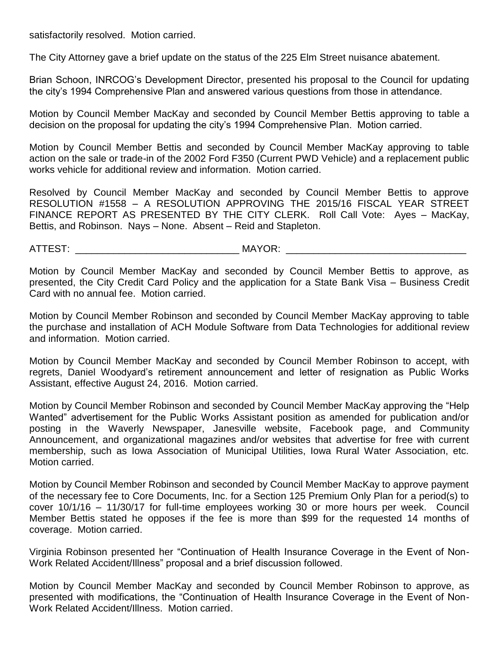satisfactorily resolved. Motion carried.

The City Attorney gave a brief update on the status of the 225 Elm Street nuisance abatement.

Brian Schoon, INRCOG's Development Director, presented his proposal to the Council for updating the city's 1994 Comprehensive Plan and answered various questions from those in attendance.

Motion by Council Member MacKay and seconded by Council Member Bettis approving to table a decision on the proposal for updating the city's 1994 Comprehensive Plan. Motion carried.

Motion by Council Member Bettis and seconded by Council Member MacKay approving to table action on the sale or trade-in of the 2002 Ford F350 (Current PWD Vehicle) and a replacement public works vehicle for additional review and information. Motion carried.

Resolved by Council Member MacKay and seconded by Council Member Bettis to approve RESOLUTION #1558 – A RESOLUTION APPROVING THE 2015/16 FISCAL YEAR STREET FINANCE REPORT AS PRESENTED BY THE CITY CLERK. Roll Call Vote: Ayes – MacKay, Bettis, and Robinson. Nays – None. Absent – Reid and Stapleton.

ATTEST: \_\_\_\_\_\_\_\_\_\_\_\_\_\_\_\_\_\_\_\_\_\_\_\_\_\_\_\_\_\_ MAYOR: \_\_\_\_\_\_\_\_\_\_\_\_\_\_\_\_\_\_\_\_\_\_\_\_\_\_\_\_\_\_\_\_\_

Motion by Council Member MacKay and seconded by Council Member Bettis to approve, as presented, the City Credit Card Policy and the application for a State Bank Visa – Business Credit Card with no annual fee. Motion carried.

Motion by Council Member Robinson and seconded by Council Member MacKay approving to table the purchase and installation of ACH Module Software from Data Technologies for additional review and information. Motion carried.

Motion by Council Member MacKay and seconded by Council Member Robinson to accept, with regrets, Daniel Woodyard's retirement announcement and letter of resignation as Public Works Assistant, effective August 24, 2016. Motion carried.

Motion by Council Member Robinson and seconded by Council Member MacKay approving the "Help Wanted" advertisement for the Public Works Assistant position as amended for publication and/or posting in the Waverly Newspaper, Janesville website, Facebook page, and Community Announcement, and organizational magazines and/or websites that advertise for free with current membership, such as Iowa Association of Municipal Utilities, Iowa Rural Water Association, etc. Motion carried.

Motion by Council Member Robinson and seconded by Council Member MacKay to approve payment of the necessary fee to Core Documents, Inc. for a Section 125 Premium Only Plan for a period(s) to cover 10/1/16 – 11/30/17 for full-time employees working 30 or more hours per week. Council Member Bettis stated he opposes if the fee is more than \$99 for the requested 14 months of coverage. Motion carried.

Virginia Robinson presented her "Continuation of Health Insurance Coverage in the Event of Non-Work Related Accident/Illness" proposal and a brief discussion followed.

Motion by Council Member MacKay and seconded by Council Member Robinson to approve, as presented with modifications, the "Continuation of Health Insurance Coverage in the Event of Non-Work Related Accident/Illness. Motion carried.